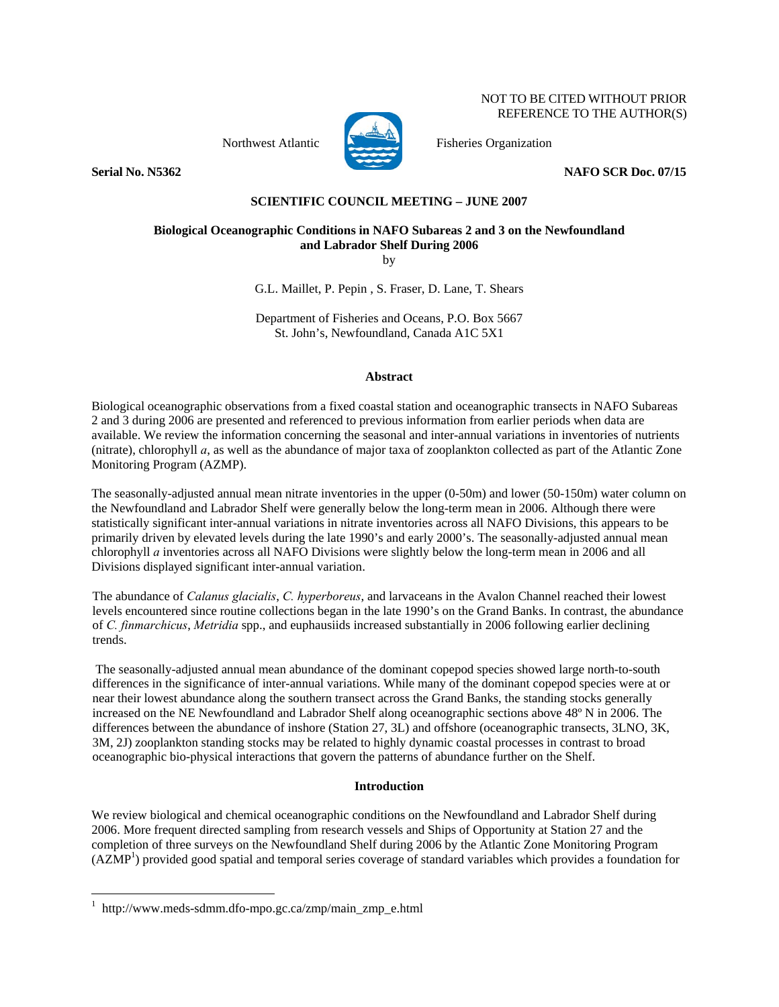Northwest Atlantic Fisheries Organization





**Serial No. N5362** NAFO SCR Doc. 07/15

NOT TO BE CITED WITHOUT PRIOR REFERENCE TO THE AUTHOR(S)

## **SCIENTIFIC COUNCIL MEETING – JUNE 2007**

# **Biological Oceanographic Conditions in NAFO Subareas 2 and 3 on the Newfoundland and Labrador Shelf During 2006**

by

G.L. Maillet, P. Pepin , S. Fraser, D. Lane, T. Shears

Department of Fisheries and Oceans, P.O. Box 5667 St. John's, Newfoundland, Canada A1C 5X1

## **Abstract**

Biological oceanographic observations from a fixed coastal station and oceanographic transects in NAFO Subareas 2 and 3 during 2006 are presented and referenced to previous information from earlier periods when data are available. We review the information concerning the seasonal and inter-annual variations in inventories of nutrients (nitrate), chlorophyll *a*, as well as the abundance of major taxa of zooplankton collected as part of the Atlantic Zone Monitoring Program (AZMP).

The seasonally-adjusted annual mean nitrate inventories in the upper (0-50m) and lower (50-150m) water column on the Newfoundland and Labrador Shelf were generally below the long-term mean in 2006. Although there were statistically significant inter-annual variations in nitrate inventories across all NAFO Divisions, this appears to be primarily driven by elevated levels during the late 1990's and early 2000's. The seasonally-adjusted annual mean chlorophyll *a* inventories across all NAFO Divisions were slightly below the long-term mean in 2006 and all Divisions displayed significant inter-annual variation.

The abundance of *Calanus glacialis*, *C. hyperboreus*, and larvaceans in the Avalon Channel reached their lowest levels encountered since routine collections began in the late 1990's on the Grand Banks. In contrast, the abundance of *C. finmarchicus*, *Metridia* spp., and euphausiids increased substantially in 2006 following earlier declining trends.

 The seasonally-adjusted annual mean abundance of the dominant copepod species showed large north-to-south differences in the significance of inter-annual variations. While many of the dominant copepod species were at or near their lowest abundance along the southern transect across the Grand Banks, the standing stocks generally increased on the NE Newfoundland and Labrador Shelf along oceanographic sections above 48º N in 2006. The differences between the abundance of inshore (Station 27, 3L) and offshore (oceanographic transects, 3LNO, 3K, 3M, 2J) zooplankton standing stocks may be related to highly dynamic coastal processes in contrast to broad oceanographic bio-physical interactions that govern the patterns of abundance further on the Shelf.

## **Introduction**

We review biological and chemical oceanographic conditions on the Newfoundland and Labrador Shelf during 2006. More frequent directed sampling from research vessels and Ships of Opportunity at Station 27 and the completion of three surveys on the Newfoundland Shelf during 2006 by the Atlantic Zone Monitoring Program (AZMP<sup>1</sup>) provided good spatial and temporal series coverage of standard variables which provides a foundation for

 $\overline{a}$ 

<sup>1</sup> http://www.meds-sdmm.dfo-mpo.gc.ca/zmp/main\_zmp\_e.html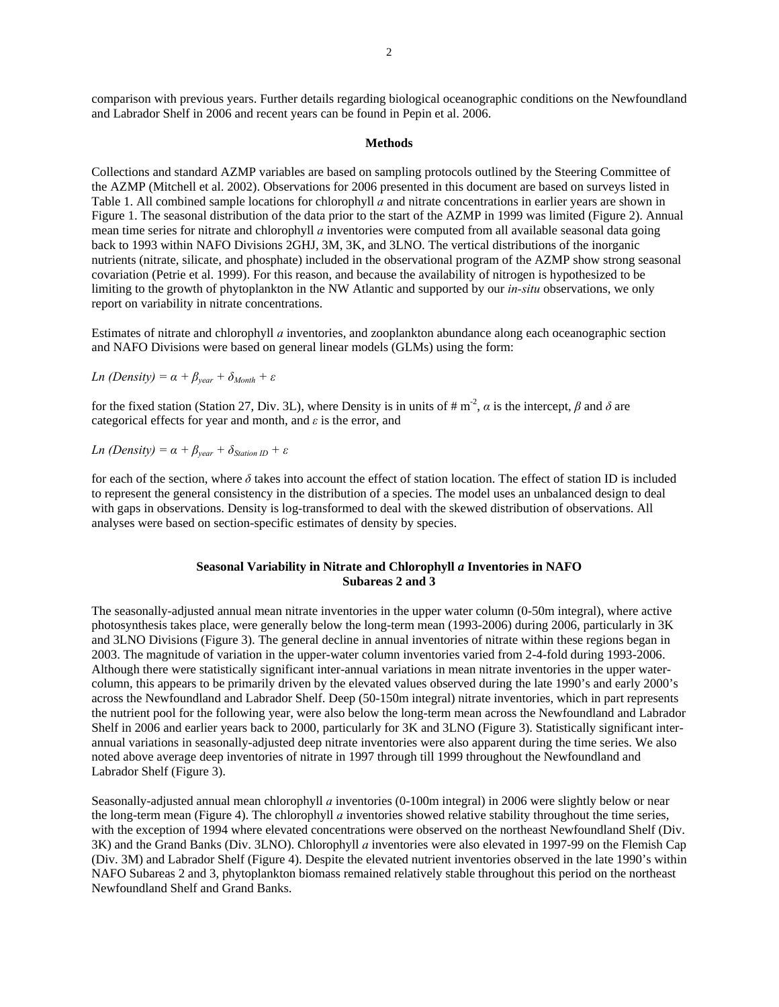comparison with previous years. Further details regarding biological oceanographic conditions on the Newfoundland and Labrador Shelf in 2006 and recent years can be found in Pepin et al. 2006.

#### **Methods**

Collections and standard AZMP variables are based on sampling protocols outlined by the Steering Committee of the AZMP (Mitchell et al. 2002). Observations for 2006 presented in this document are based on surveys listed in Table 1. All combined sample locations for chlorophyll *a* and nitrate concentrations in earlier years are shown in Figure 1. The seasonal distribution of the data prior to the start of the AZMP in 1999 was limited (Figure 2). Annual mean time series for nitrate and chlorophyll *a* inventories were computed from all available seasonal data going back to 1993 within NAFO Divisions 2GHJ, 3M, 3K, and 3LNO. The vertical distributions of the inorganic nutrients (nitrate, silicate, and phosphate) included in the observational program of the AZMP show strong seasonal covariation (Petrie et al. 1999). For this reason, and because the availability of nitrogen is hypothesized to be limiting to the growth of phytoplankton in the NW Atlantic and supported by our *in-situ* observations, we only report on variability in nitrate concentrations.

Estimates of nitrate and chlorophyll *a* inventories, and zooplankton abundance along each oceanographic section and NAFO Divisions were based on general linear models (GLMs) using the form:

*In (Density)* = 
$$
\alpha + \beta_{year} + \delta_{Month} + \varepsilon
$$

for the fixed station (Station 27, Div. 3L), where Density is in units of  $\# \text{m}^2$ ,  $\alpha$  is the intercept,  $\beta$  and  $\delta$  are categorical effects for year and month, and *ε* is the error, and

*Ln* (Density) =  $\alpha + \beta_{\text{year}} + \delta_{StationID} + \varepsilon$ 

for each of the section, where  $\delta$  takes into account the effect of station location. The effect of station ID is included to represent the general consistency in the distribution of a species. The model uses an unbalanced design to deal with gaps in observations. Density is log-transformed to deal with the skewed distribution of observations. All analyses were based on section-specific estimates of density by species.

### **Seasonal Variability in Nitrate and Chlorophyll** *a* **Inventories in NAFO Subareas 2 and 3**

The seasonally-adjusted annual mean nitrate inventories in the upper water column (0-50m integral), where active photosynthesis takes place, were generally below the long-term mean (1993-2006) during 2006, particularly in 3K and 3LNO Divisions (Figure 3). The general decline in annual inventories of nitrate within these regions began in 2003. The magnitude of variation in the upper-water column inventories varied from 2-4-fold during 1993-2006. Although there were statistically significant inter-annual variations in mean nitrate inventories in the upper watercolumn, this appears to be primarily driven by the elevated values observed during the late 1990's and early 2000's across the Newfoundland and Labrador Shelf. Deep (50-150m integral) nitrate inventories, which in part represents the nutrient pool for the following year, were also below the long-term mean across the Newfoundland and Labrador Shelf in 2006 and earlier years back to 2000, particularly for 3K and 3LNO (Figure 3). Statistically significant interannual variations in seasonally-adjusted deep nitrate inventories were also apparent during the time series. We also noted above average deep inventories of nitrate in 1997 through till 1999 throughout the Newfoundland and Labrador Shelf (Figure 3).

Seasonally-adjusted annual mean chlorophyll *a* inventories (0-100m integral) in 2006 were slightly below or near the long-term mean (Figure 4). The chlorophyll *a* inventories showed relative stability throughout the time series, with the exception of 1994 where elevated concentrations were observed on the northeast Newfoundland Shelf (Div. 3K) and the Grand Banks (Div. 3LNO). Chlorophyll *a* inventories were also elevated in 1997-99 on the Flemish Cap (Div. 3M) and Labrador Shelf (Figure 4). Despite the elevated nutrient inventories observed in the late 1990's within NAFO Subareas 2 and 3, phytoplankton biomass remained relatively stable throughout this period on the northeast Newfoundland Shelf and Grand Banks.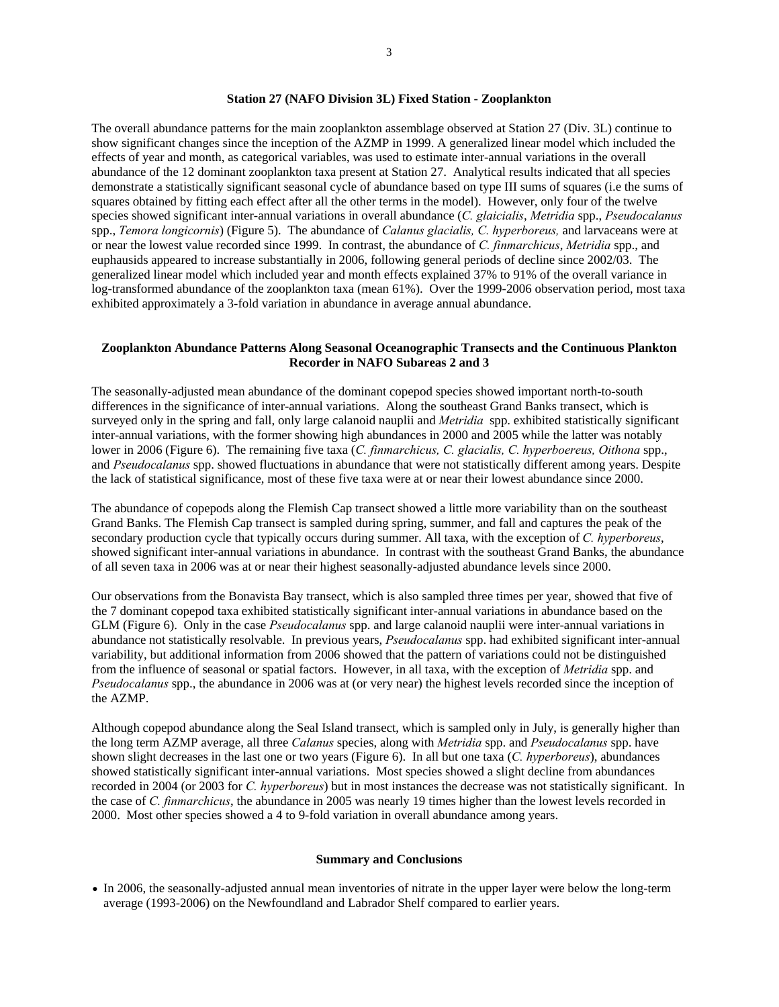#### **Station 27 (NAFO Division 3L) Fixed Station - Zooplankton**

The overall abundance patterns for the main zooplankton assemblage observed at Station 27 (Div. 3L) continue to show significant changes since the inception of the AZMP in 1999. A generalized linear model which included the effects of year and month, as categorical variables, was used to estimate inter-annual variations in the overall abundance of the 12 dominant zooplankton taxa present at Station 27. Analytical results indicated that all species demonstrate a statistically significant seasonal cycle of abundance based on type III sums of squares (i.e the sums of squares obtained by fitting each effect after all the other terms in the model). However, only four of the twelve species showed significant inter-annual variations in overall abundance (*C. glaicialis*, *Metridia* spp., *Pseudocalanus* spp., *Temora longicornis*) (Figure 5).The abundance of *Calanus glacialis, C. hyperboreus,* and larvaceans were at or near the lowest value recorded since 1999. In contrast, the abundance of *C. finmarchicus*, *Metridia* spp., and euphausids appeared to increase substantially in 2006, following general periods of decline since 2002/03. The generalized linear model which included year and month effects explained 37% to 91% of the overall variance in log-transformed abundance of the zooplankton taxa (mean 61%). Over the 1999-2006 observation period, most taxa exhibited approximately a 3-fold variation in abundance in average annual abundance.

#### **Zooplankton Abundance Patterns Along Seasonal Oceanographic Transects and the Continuous Plankton Recorder in NAFO Subareas 2 and 3**

The seasonally-adjusted mean abundance of the dominant copepod species showed important north-to-south differences in the significance of inter-annual variations. Along the southeast Grand Banks transect, which is surveyed only in the spring and fall, only large calanoid nauplii and *Metridia* spp. exhibited statistically significant inter-annual variations, with the former showing high abundances in 2000 and 2005 while the latter was notably lower in 2006 (Figure 6). The remaining five taxa (*C. finmarchicus, C. glacialis, C. hyperboereus, Oithona* spp., and *Pseudocalanus* spp. showed fluctuations in abundance that were not statistically different among years. Despite the lack of statistical significance, most of these five taxa were at or near their lowest abundance since 2000.

The abundance of copepods along the Flemish Cap transect showed a little more variability than on the southeast Grand Banks. The Flemish Cap transect is sampled during spring, summer, and fall and captures the peak of the secondary production cycle that typically occurs during summer. All taxa, with the exception of *C. hyperboreus*, showed significant inter-annual variations in abundance. In contrast with the southeast Grand Banks, the abundance of all seven taxa in 2006 was at or near their highest seasonally-adjusted abundance levels since 2000.

Our observations from the Bonavista Bay transect, which is also sampled three times per year, showed that five of the 7 dominant copepod taxa exhibited statistically significant inter-annual variations in abundance based on the GLM (Figure 6). Only in the case *Pseudocalanus* spp. and large calanoid nauplii were inter-annual variations in abundance not statistically resolvable. In previous years, *Pseudocalanus* spp. had exhibited significant inter-annual variability, but additional information from 2006 showed that the pattern of variations could not be distinguished from the influence of seasonal or spatial factors. However, in all taxa, with the exception of *Metridia* spp. and *Pseudocalanus* spp., the abundance in 2006 was at (or very near) the highest levels recorded since the inception of the AZMP.

Although copepod abundance along the Seal Island transect, which is sampled only in July, is generally higher than the long term AZMP average, all three *Calanus* species, along with *Metridia* spp. and *Pseudocalanus* spp. have shown slight decreases in the last one or two years (Figure 6). In all but one taxa (*C. hyperboreus*), abundances showed statistically significant inter-annual variations. Most species showed a slight decline from abundances recorded in 2004 (or 2003 for *C. hyperboreus*) but in most instances the decrease was not statistically significant. In the case of *C. finmarchicus*, the abundance in 2005 was nearly 19 times higher than the lowest levels recorded in 2000. Most other species showed a 4 to 9-fold variation in overall abundance among years.

#### **Summary and Conclusions**

• In 2006, the seasonally-adjusted annual mean inventories of nitrate in the upper layer were below the long-term average (1993-2006) on the Newfoundland and Labrador Shelf compared to earlier years.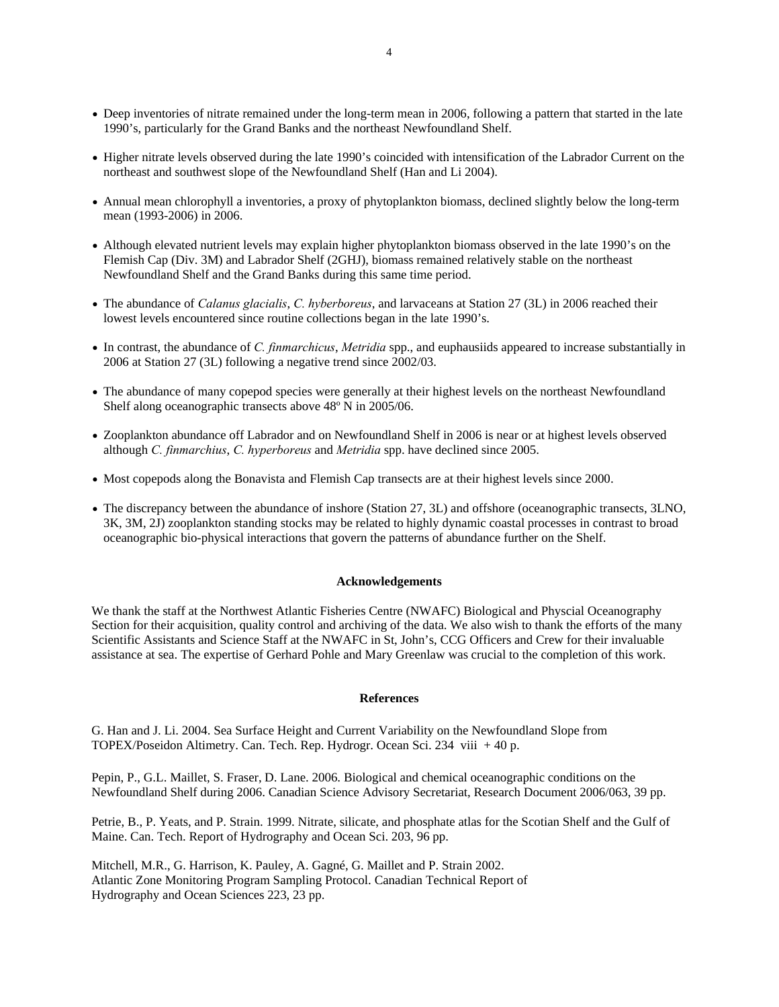- Deep inventories of nitrate remained under the long-term mean in 2006, following a pattern that started in the late 1990's, particularly for the Grand Banks and the northeast Newfoundland Shelf.
- Higher nitrate levels observed during the late 1990's coincided with intensification of the Labrador Current on the northeast and southwest slope of the Newfoundland Shelf (Han and Li 2004).
- Annual mean chlorophyll a inventories, a proxy of phytoplankton biomass, declined slightly below the long-term mean (1993-2006) in 2006.
- Although elevated nutrient levels may explain higher phytoplankton biomass observed in the late 1990's on the Flemish Cap (Div. 3M) and Labrador Shelf (2GHJ), biomass remained relatively stable on the northeast Newfoundland Shelf and the Grand Banks during this same time period.
- The abundance of *Calanus glacialis*, *C. hyberboreus*, and larvaceans at Station 27 (3L) in 2006 reached their lowest levels encountered since routine collections began in the late 1990's.
- In contrast, the abundance of *C. finmarchicus*, *Metridia* spp., and euphausiids appeared to increase substantially in 2006 at Station 27 (3L) following a negative trend since 2002/03.
- The abundance of many copepod species were generally at their highest levels on the northeast Newfoundland Shelf along oceanographic transects above 48º N in 2005/06.
- Zooplankton abundance off Labrador and on Newfoundland Shelf in 2006 is near or at highest levels observed although *C. finmarchius*, *C. hyperboreus* and *Metridia* spp. have declined since 2005.
- Most copepods along the Bonavista and Flemish Cap transects are at their highest levels since 2000.
- The discrepancy between the abundance of inshore (Station 27, 3L) and offshore (oceanographic transects, 3LNO, 3K, 3M, 2J) zooplankton standing stocks may be related to highly dynamic coastal processes in contrast to broad oceanographic bio-physical interactions that govern the patterns of abundance further on the Shelf.

### **Acknowledgements**

We thank the staff at the Northwest Atlantic Fisheries Centre (NWAFC) Biological and Physcial Oceanography Section for their acquisition, quality control and archiving of the data. We also wish to thank the efforts of the many Scientific Assistants and Science Staff at the NWAFC in St, John's, CCG Officers and Crew for their invaluable assistance at sea. The expertise of Gerhard Pohle and Mary Greenlaw was crucial to the completion of this work.

#### **References**

G. Han and J. Li. 2004. Sea Surface Height and Current Variability on the Newfoundland Slope from TOPEX/Poseidon Altimetry. Can. Tech. Rep. Hydrogr. Ocean Sci. 234 viii + 40 p.

Pepin, P., G.L. Maillet, S. Fraser, D. Lane. 2006. Biological and chemical oceanographic conditions on the Newfoundland Shelf during 2006. Canadian Science Advisory Secretariat, Research Document 2006/063, 39 pp.

Petrie, B., P. Yeats, and P. Strain. 1999. Nitrate, silicate, and phosphate atlas for the Scotian Shelf and the Gulf of Maine. Can. Tech. Report of Hydrography and Ocean Sci. 203, 96 pp.

Mitchell, M.R., G. Harrison, K. Pauley, A. Gagné, G. Maillet and P. Strain 2002. Atlantic Zone Monitoring Program Sampling Protocol. Canadian Technical Report of Hydrography and Ocean Sciences 223, 23 pp.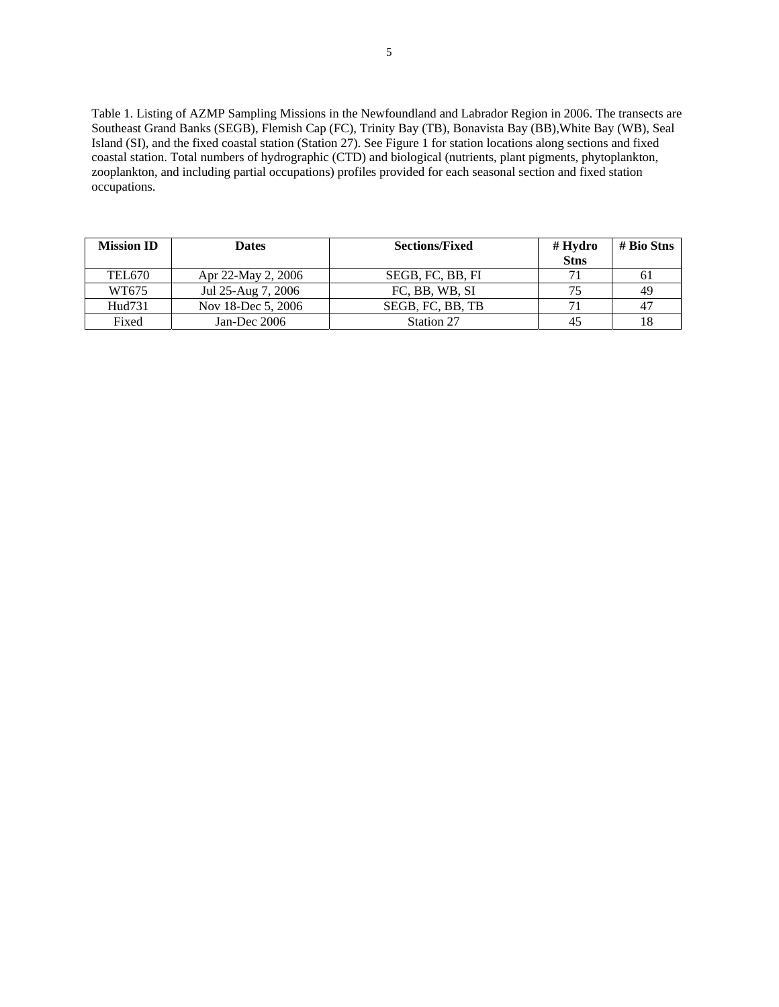Table 1. Listing of AZMP Sampling Missions in the Newfoundland and Labrador Region in 2006. The transects are Southeast Grand Banks (SEGB), Flemish Cap (FC), Trinity Bay (TB), Bonavista Bay (BB),White Bay (WB), Seal Island (SI), and the fixed coastal station (Station 27). See Figure 1 for station locations along sections and fixed coastal station. Total numbers of hydrographic (CTD) and biological (nutrients, plant pigments, phytoplankton, zooplankton, and including partial occupations) profiles provided for each seasonal section and fixed station occupations.

| <b>Mission ID</b> | <b>Dates</b>       | <b>Sections/Fixed</b> | $#$ Hydro<br><b>Stns</b> | $# \t{Bio Stns}$ |
|-------------------|--------------------|-----------------------|--------------------------|------------------|
| <b>TEL670</b>     | Apr 22-May 2, 2006 | SEGB, FC, BB, FI      |                          | 61               |
| WT675             | Jul 25-Aug 7, 2006 | FC, BB, WB, SI        | 75                       | 49               |
| Hud731            | Nov 18-Dec 5, 2006 | SEGB, FC, BB, TB      |                          | -47              |
| Fixed             | Jan-Dec $2006$     | Station 27            |                          |                  |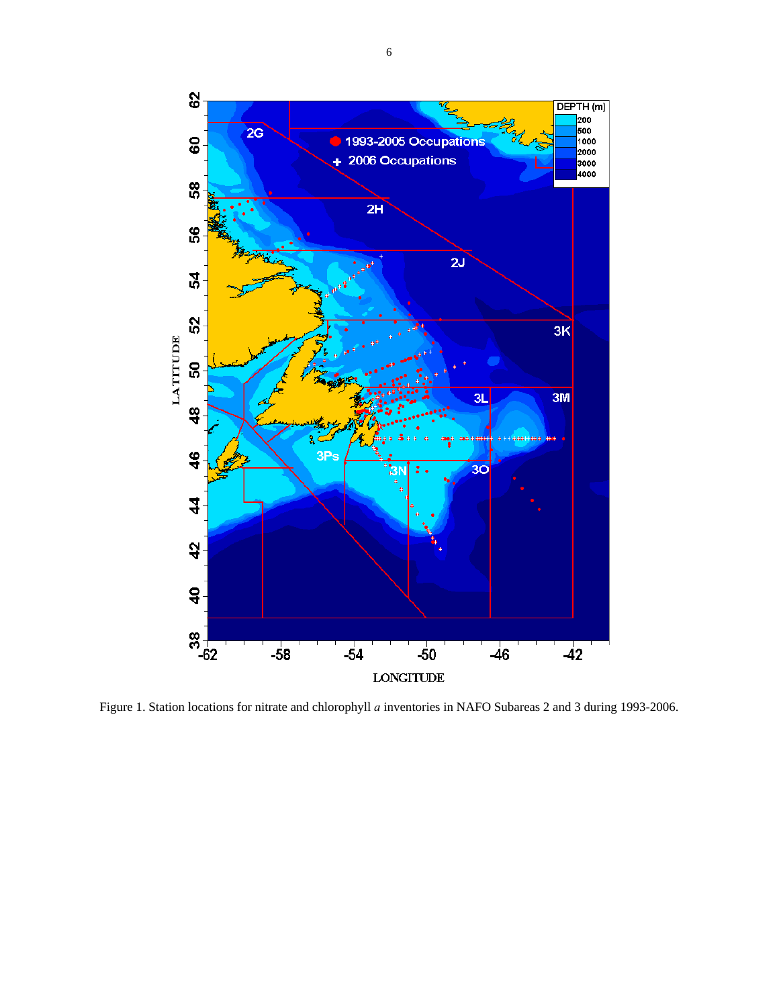

Figure 1. Station locations for nitrate and chlorophyll *a* inventories in NAFO Subareas 2 and 3 during 1993-2006.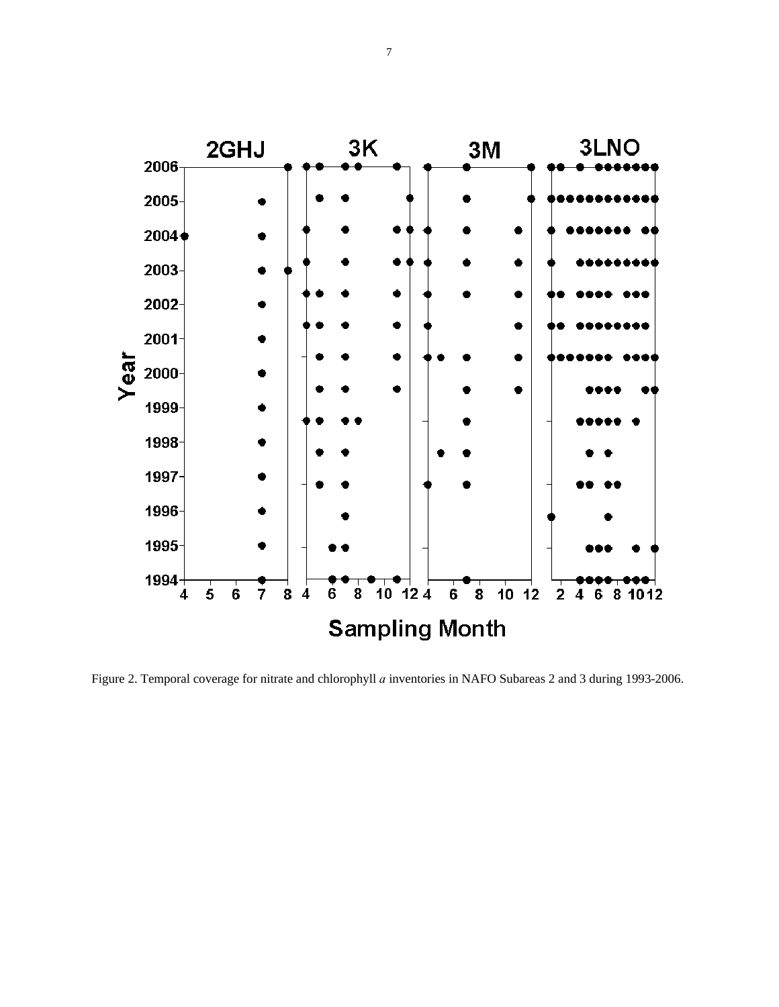

Figure 2. Temporal coverage for nitrate and chlorophyll *a* inventories in NAFO Subareas 2 and 3 during 1993-2006.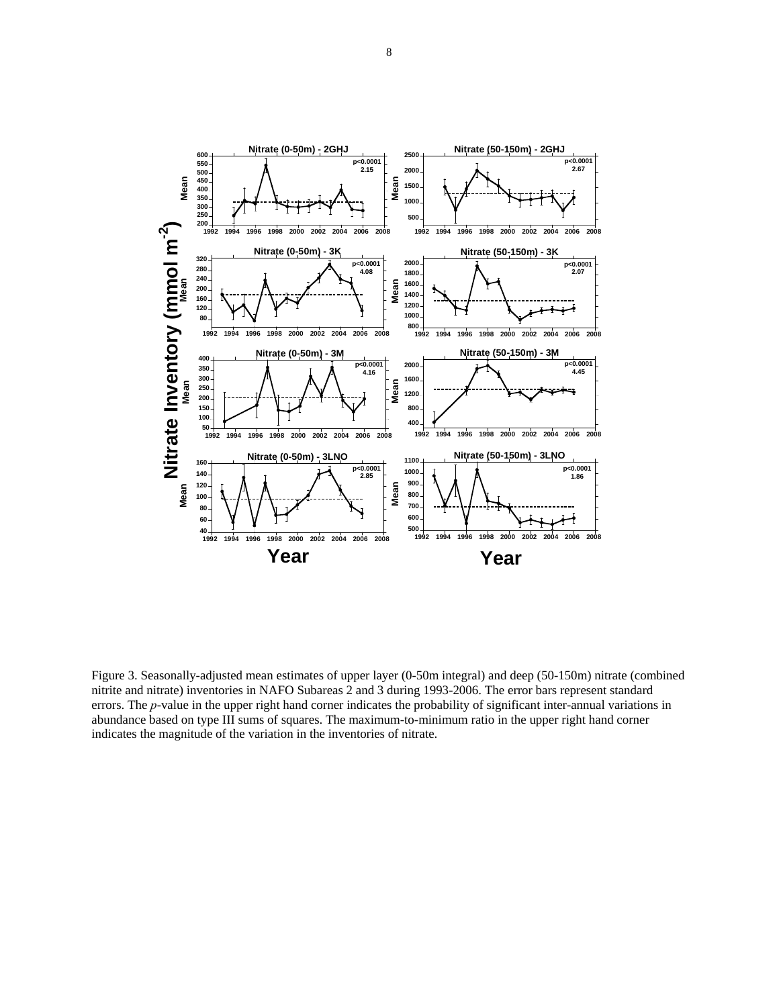

Figure 3. Seasonally-adjusted mean estimates of upper layer (0-50m integral) and deep (50-150m) nitrate (combined nitrite and nitrate) inventories in NAFO Subareas 2 and 3 during 1993-2006. The error bars represent standard errors. The *p*-value in the upper right hand corner indicates the probability of significant inter-annual variations in abundance based on type III sums of squares. The maximum-to-minimum ratio in the upper right hand corner indicates the magnitude of the variation in the inventories of nitrate.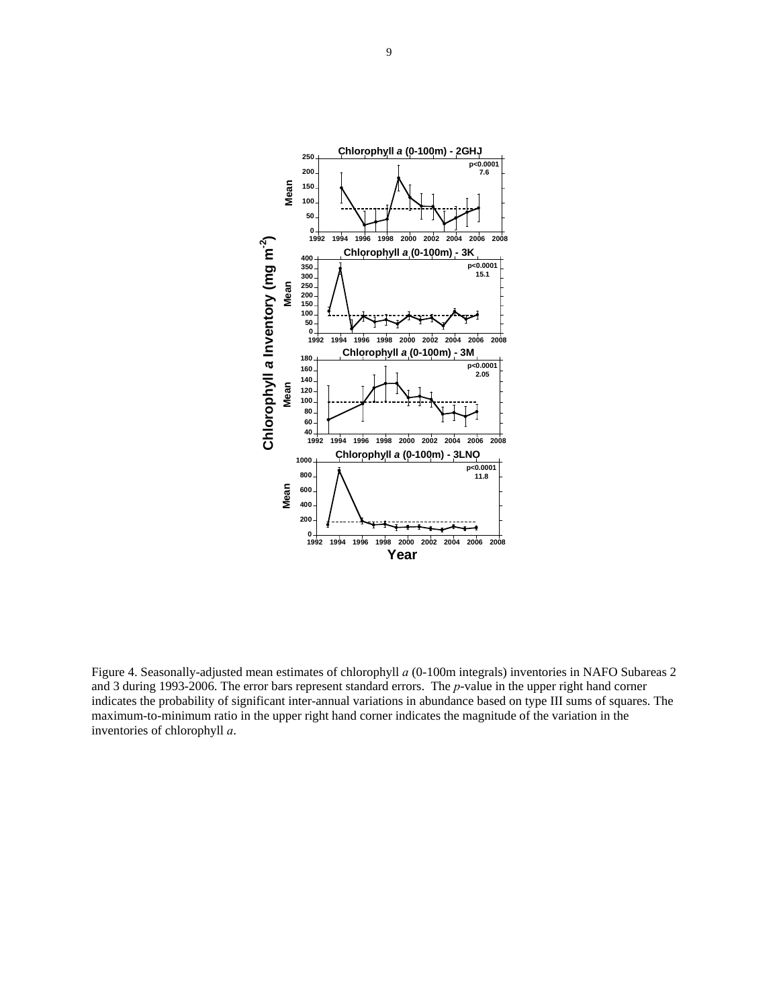

Figure 4. Seasonally-adjusted mean estimates of chlorophyll *a* (0-100m integrals) inventories in NAFO Subareas 2 and 3 during 1993-2006. The error bars represent standard errors. The *p*-value in the upper right hand corner indicates the probability of significant inter-annual variations in abundance based on type III sums of squares. The maximum-to-minimum ratio in the upper right hand corner indicates the magnitude of the variation in the inventories of chlorophyll *a*.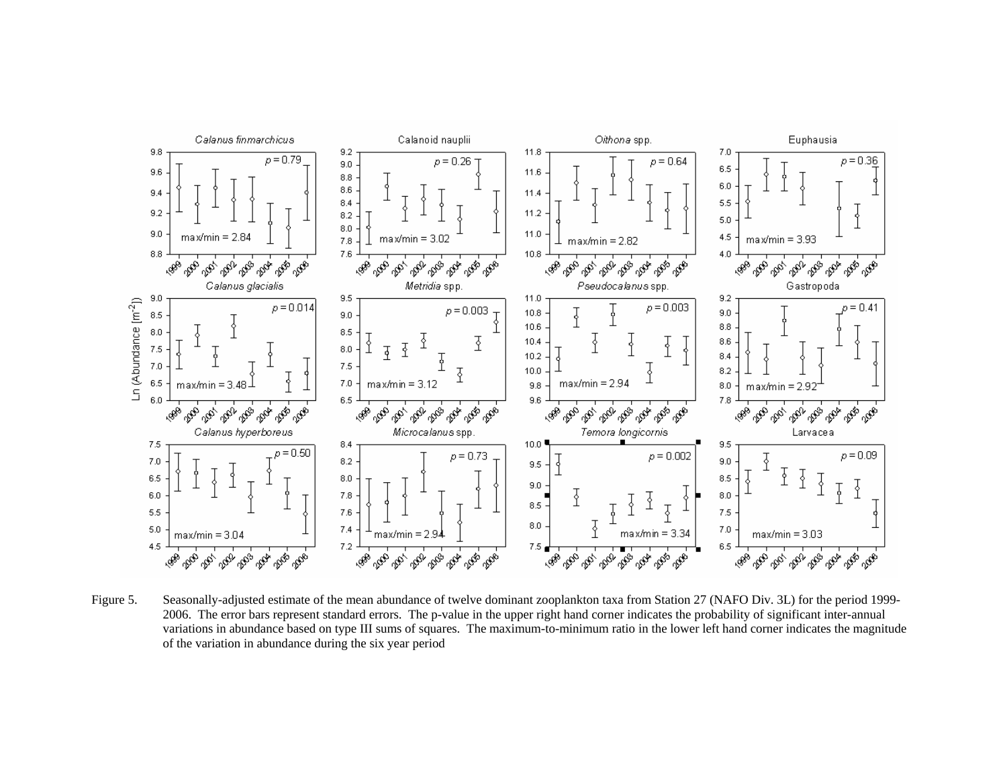

Figure 5. Seasonally-adjusted estimate of the mean abundance of twelve dominant zooplankton taxa from Station 27 (NAFO Div. 3L) for the period 1999- 2006. The error bars represent standard errors. The p-value in the upper right hand corner indicates the probability of significant inter-annual variations in abundance based on type III sums of squares. The maximum-to-minimum ratio in the lower left hand corner indicates the magnitude of the variation in abundance during the six year period